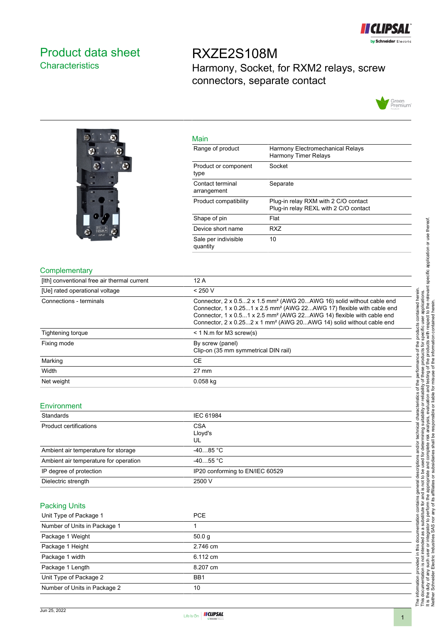

## <span id="page-0-0"></span>Product data sheet **Characteristics**

## RXZE2S108M Harmony, Socket, for RXM2 relays, screw connectors, separate contact





| iviali i                         |                                                                               |
|----------------------------------|-------------------------------------------------------------------------------|
| Range of product                 | Harmony Electromechanical Relays<br><b>Harmony Timer Relays</b>               |
| Product or component<br>type     | Socket                                                                        |
| Contact terminal<br>arrangement  | Separate                                                                      |
| Product compatibility            | Plug-in relay RXM with 2 C/O contact<br>Plug-in relay REXL with 2 C/O contact |
| Shape of pin                     | Flat                                                                          |
| Device short name                | RX7                                                                           |
| Sale per indivisible<br>quantity | 10                                                                            |
|                                  |                                                                               |

#### **Complementary**

| [Ith] conventional free air thermal current | 12A                                                                                                                                                                                                                                                                                                                                          |
|---------------------------------------------|----------------------------------------------------------------------------------------------------------------------------------------------------------------------------------------------------------------------------------------------------------------------------------------------------------------------------------------------|
| [Ue] rated operational voltage              | < 250 V                                                                                                                                                                                                                                                                                                                                      |
| Connections - terminals                     | Connector, 2 x 0.52 x 1.5 mm <sup>2</sup> (AWG 20AWG 16) solid without cable end<br>Connector, 1 x 0.251 x 2.5 mm <sup>2</sup> (AWG 22AWG 17) flexible with cable end<br>Connector, 1 x 0.51 x 2.5 mm <sup>2</sup> (AWG 22AWG 14) flexible with cable end<br>Connector, 2 x 0.252 x 1 mm <sup>2</sup> (AWG 20AWG 14) solid without cable end |
| Tightening torque                           | $<$ 1 N.m for M3 screw(s)                                                                                                                                                                                                                                                                                                                    |
| Fixing mode                                 | By screw (panel)<br>Clip-on (35 mm symmetrical DIN rail)                                                                                                                                                                                                                                                                                     |
| Marking                                     | <b>CE</b>                                                                                                                                                                                                                                                                                                                                    |
| Width                                       | $27 \text{ mm}$                                                                                                                                                                                                                                                                                                                              |
| Net weight                                  | $0.058$ kg                                                                                                                                                                                                                                                                                                                                   |

Main

#### Environment

| Standards                             | IEC 61984                       |
|---------------------------------------|---------------------------------|
| Product certifications                | <b>CSA</b><br>Lloyd's<br>UL     |
| Ambient air temperature for storage   | $-4085 °C$                      |
| Ambient air temperature for operation | $-4055$ °C                      |
| IP degree of protection               | IP20 conforming to EN/IEC 60529 |
| Dielectric strength                   | 2500 V                          |

#### Packing Units

| Unit Type of Package 1       | <b>PCE</b>        |
|------------------------------|-------------------|
| Number of Units in Package 1 |                   |
| Package 1 Weight             | 50.0 <sub>q</sub> |
| Package 1 Height             | 2.746 cm          |
| Package 1 width              | 6.112 cm          |
| Package 1 Length             | 8.207 cm          |
| Unit Type of Package 2       | BB <sub>1</sub>   |
| Number of Units in Package 2 | 10                |

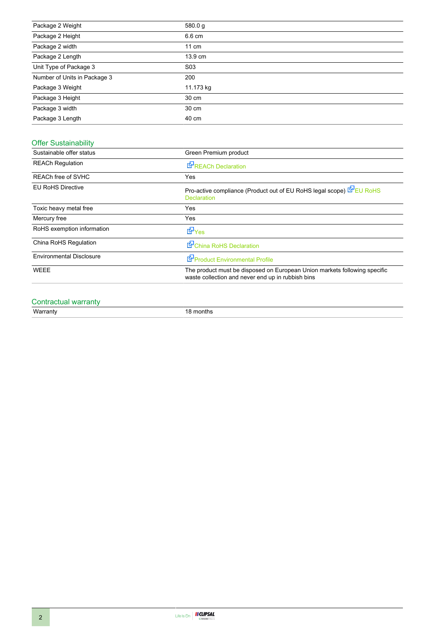| Package 2 Weight             | 580.0 g          |
|------------------------------|------------------|
| Package 2 Height             | 6.6 cm           |
| Package 2 width              | $11 \text{ cm}$  |
| Package 2 Length             | 13.9 cm          |
| Unit Type of Package 3       | S <sub>0</sub> 3 |
| Number of Units in Package 3 | 200              |
| Package 3 Weight             | 11.173 kg        |
| Package 3 Height             | 30 cm            |
| Package 3 width              | 30 cm            |
| Package 3 Length             | 40 cm            |

### Offer Sustainability

| Sustainable offer status        | Green Premium product                                                                                                          |
|---------------------------------|--------------------------------------------------------------------------------------------------------------------------------|
| <b>REACh Regulation</b>         | <b>E</b> <sup>I</sup> REACh Declaration                                                                                        |
| REACh free of SVHC              | <b>Yes</b>                                                                                                                     |
| <b>EU RoHS Directive</b>        | Pro-active compliance (Product out of EU RoHS legal scope) EU RoHS<br><b>Declaration</b>                                       |
| Toxic heavy metal free          | Yes                                                                                                                            |
| Mercury free                    | Yes                                                                                                                            |
| RoHS exemption information      | dor Yes                                                                                                                        |
| China RoHS Regulation           | China RoHS Declaration                                                                                                         |
| <b>Environmental Disclosure</b> | Product Environmental Profile                                                                                                  |
| <b>WEEE</b>                     | The product must be disposed on European Union markets following specific<br>waste collection and never end up in rubbish bins |

# Contractual warranty<br>Warranty

18 months